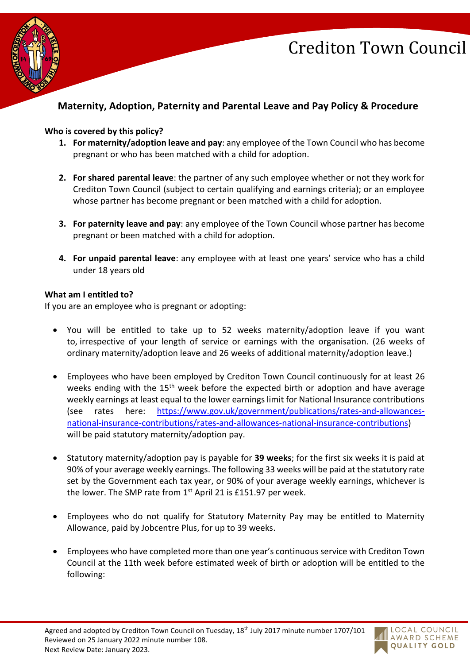

### **Maternity, Adoption, Paternity and Parental Leave and Pay Policy & Procedure**

#### **Who is covered by this policy?**

- **1. For maternity/adoption leave and pay**: any employee of the Town Council who has become pregnant or who has been matched with a child for adoption.
- **2. For shared parental leave**: the partner of any such employee whether or not they work for Crediton Town Council (subject to certain qualifying and earnings criteria); or an employee whose partner has become pregnant or been matched with a child for adoption.
- **3. For paternity leave and pay**: any employee of the Town Council whose partner has become pregnant or been matched with a child for adoption.
- **4. For unpaid parental leave**: any employee with at least one years' service who has a child under 18 years old

#### **What am I entitled to?**

If you are an employee who is pregnant or adopting:

- You will be entitled to take up to 52 weeks maternity/adoption leave if you want to, irrespective of your length of service or earnings with the organisation. (26 weeks of ordinary maternity/adoption leave and 26 weeks of additional maternity/adoption leave.)
- Employees who have been employed by Crediton Town Council continuously for at least 26 weeks ending with the 15<sup>th</sup> week before the expected birth or adoption and have average weekly earnings at least equal to the lower earnings limit for National Insurance contributions (see rates here: [https://www.gov.uk/government/publications/rates-and-allowances](https://www.gov.uk/government/publications/rates-and-allowances-national-insurance-contributions/rates-and-allowances-national-insurance-contributions)[national-insurance-contributions/rates-and-allowances-national-insurance-contributions\)](https://www.gov.uk/government/publications/rates-and-allowances-national-insurance-contributions/rates-and-allowances-national-insurance-contributions) will be paid statutory maternity/adoption pay.
- Statutory maternity/adoption pay is payable for **39 weeks**; for the first six weeks it is paid at 90% of your average weekly earnings. The following 33 weeks will be paid at the statutory rate set by the Government each tax year, or 90% of your average weekly earnings, whichever is the lower. The SMP rate from  $1<sup>st</sup>$  April 21 is £151.97 per week.
- Employees who do not qualify for Statutory Maternity Pay may be entitled to Maternity Allowance, paid by Jobcentre Plus, for up to 39 weeks.
- Employees who have completed more than one year's continuous service with Crediton Town Council at the 11th week before estimated week of birth or adoption will be entitled to the following:

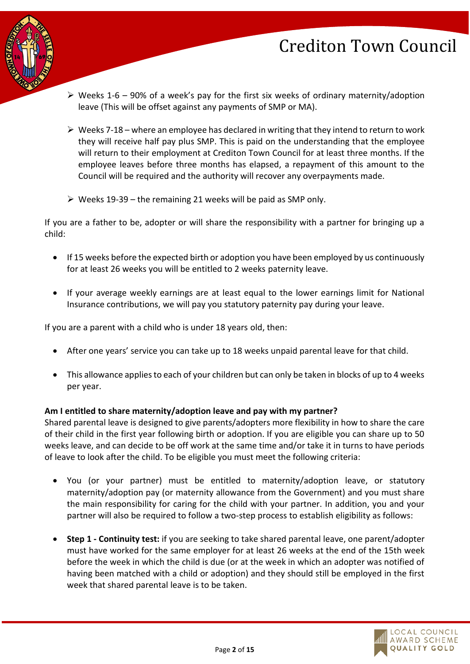

- $\triangleright$  Weeks 1-6 90% of a week's pay for the first six weeks of ordinary maternity/adoption leave (This will be offset against any payments of SMP or MA).
- $\triangleright$  Weeks 7-18 where an employee has declared in writing that they intend to return to work they will receive half pay plus SMP. This is paid on the understanding that the employee will return to their employment at Crediton Town Council for at least three months. If the employee leaves before three months has elapsed, a repayment of this amount to the Council will be required and the authority will recover any overpayments made.
- $\triangleright$  Weeks 19-39 the remaining 21 weeks will be paid as SMP only.

If you are a father to be, adopter or will share the responsibility with a partner for bringing up a child:

- If 15 weeks before the expected birth or adoption you have been employed by us continuously for at least 26 weeks you will be entitled to 2 weeks paternity leave.
- If your average weekly earnings are at least equal to the lower earnings limit for National Insurance contributions, we will pay you statutory paternity pay during your leave.

If you are a parent with a child who is under 18 years old, then:

- After one years' service you can take up to 18 weeks unpaid parental leave for that child.
- This allowance applies to each of your children but can only be taken in blocks of up to 4 weeks per year.

#### **Am I entitled to share maternity/adoption leave and pay with my partner?**

Shared parental leave is designed to give parents/adopters more flexibility in how to share the care of their child in the first year following birth or adoption. If you are eligible you can share up to 50 weeks leave, and can decide to be off work at the same time and/or take it in turns to have periods of leave to look after the child. To be eligible you must meet the following criteria:

- You (or your partner) must be entitled to maternity/adoption leave, or statutory maternity/adoption pay (or maternity allowance from the Government) and you must share the main responsibility for caring for the child with your partner. In addition, you and your partner will also be required to follow a two-step process to establish eligibility as follows:
- **Step 1 - Continuity test:** if you are seeking to take shared parental leave, one parent/adopter must have worked for the same employer for at least 26 weeks at the end of the 15th week before the week in which the child is due (or at the week in which an adopter was notified of having been matched with a child or adoption) and they should still be employed in the first week that shared parental leave is to be taken.

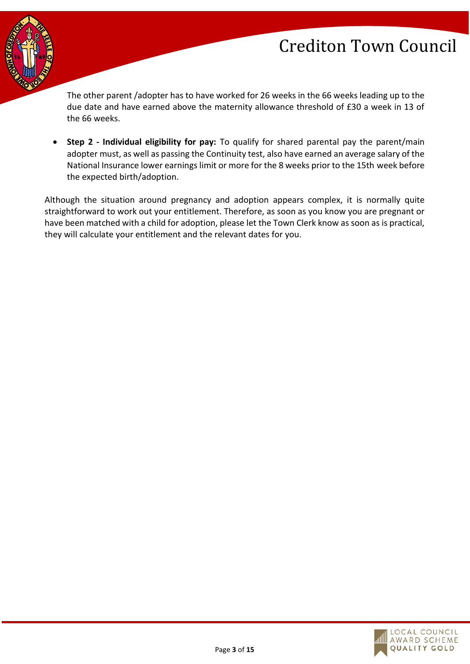

The other parent /adopter has to have worked for 26 weeks in the 66 weeks leading up to the due date and have earned above the maternity allowance threshold of £30 a week in 13 of the 66 weeks.

• Step 2 - Individual eligibility for pay: To qualify for shared parental pay the parent/main adopter must, as well as passing the Continuity test, also have earned an average salary of the National Insurance lower earnings limit or more for the 8 weeks prior to the 15th week before the expected birth/adoption.

Although the situation around pregnancy and adoption appears complex, it is normally quite straightforward to work out your entitlement. Therefore, as soon as you know you are pregnant or have been matched with a child for adoption, please let the Town Clerk know as soon as is practical, they will calculate your entitlement and the relevant dates for you.

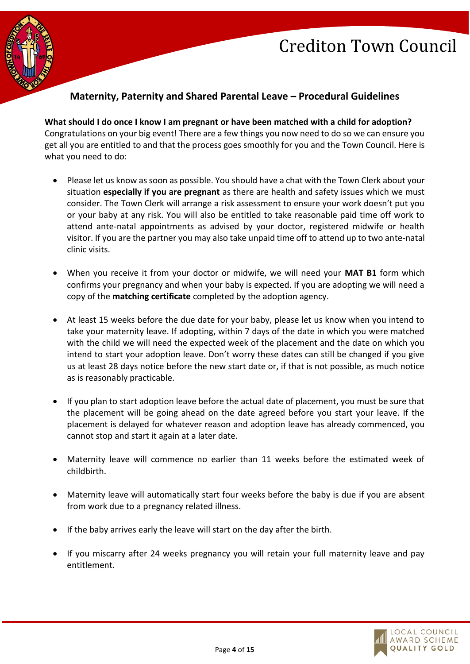

### **Maternity, Paternity and Shared Parental Leave – Procedural Guidelines**

**What should I do once I know I am pregnant or have been matched with a child for adoption?** Congratulations on your big event! There are a few things you now need to do so we can ensure you get all you are entitled to and that the process goes smoothly for you and the Town Council. Here is what you need to do:

- Please let us know as soon as possible. You should have a chat with the Town Clerk about your situation **especially if you are pregnant** as there are health and safety issues which we must consider. The Town Clerk will arrange a risk assessment to ensure your work doesn't put you or your baby at any risk. You will also be entitled to take reasonable paid time off work to attend ante-natal appointments as advised by your doctor, registered midwife or health visitor. If you are the partner you may also take unpaid time off to attend up to two ante-natal clinic visits.
- When you receive it from your doctor or midwife, we will need your **MAT B1** form which confirms your pregnancy and when your baby is expected. If you are adopting we will need a copy of the **matching certificate** completed by the adoption agency.
- At least 15 weeks before the due date for your baby, please let us know when you intend to take your maternity leave. If adopting, within 7 days of the date in which you were matched with the child we will need the expected week of the placement and the date on which you intend to start your adoption leave. Don't worry these dates can still be changed if you give us at least 28 days notice before the new start date or, if that is not possible, as much notice as is reasonably practicable.
- If you plan to start adoption leave before the actual date of placement, you must be sure that the placement will be going ahead on the date agreed before you start your leave. If the placement is delayed for whatever reason and adoption leave has already commenced, you cannot stop and start it again at a later date.
- Maternity leave will commence no earlier than 11 weeks before the estimated week of childbirth.
- Maternity leave will automatically start four weeks before the baby is due if you are absent from work due to a pregnancy related illness.
- If the baby arrives early the leave will start on the day after the birth.
- If you miscarry after 24 weeks pregnancy you will retain your full maternity leave and pay entitlement.

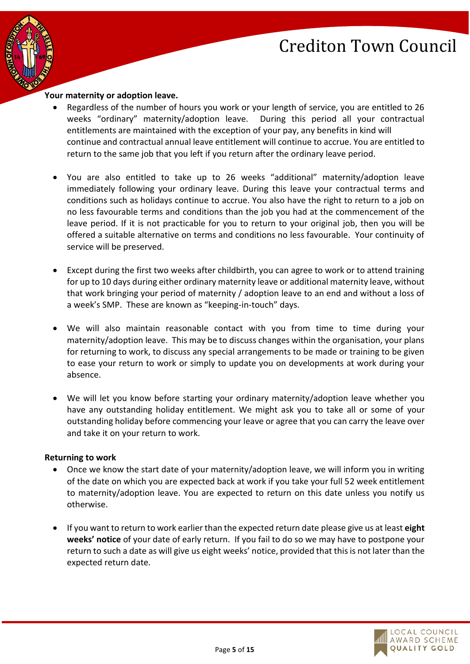

#### **Your maternity or adoption leave.**

- Regardless of the number of hours you work or your length of service, you are entitled to 26 weeks "ordinary" maternity/adoption leave. During this period all your contractual entitlements are maintained with the exception of your pay, any benefits in kind will continue and contractual annual leave entitlement will continue to accrue. You are entitled to return to the same job that you left if you return after the ordinary leave period.
- You are also entitled to take up to 26 weeks "additional" maternity/adoption leave immediately following your ordinary leave. During this leave your contractual terms and conditions such as holidays continue to accrue. You also have the right to return to a job on no less favourable terms and conditions than the job you had at the commencement of the leave period. If it is not practicable for you to return to your original job, then you will be offered a suitable alternative on terms and conditions no less favourable. Your continuity of service will be preserved.
- Except during the first two weeks after childbirth, you can agree to work or to attend training for up to 10 days during either ordinary maternity leave or additional maternity leave, without that work bringing your period of maternity / adoption leave to an end and without a loss of a week's SMP. These are known as "keeping-in-touch" days.
- We will also maintain reasonable contact with you from time to time during your maternity/adoption leave. This may be to discuss changes within the organisation, your plans for returning to work, to discuss any special arrangements to be made or training to be given to ease your return to work or simply to update you on developments at work during your absence.
- We will let you know before starting your ordinary maternity/adoption leave whether you have any outstanding holiday entitlement. We might ask you to take all or some of your outstanding holiday before commencing your leave or agree that you can carry the leave over and take it on your return to work.

#### **Returning to work**

- Once we know the start date of your maternity/adoption leave, we will inform you in writing of the date on which you are expected back at work if you take your full 52 week entitlement to maternity/adoption leave. You are expected to return on this date unless you notify us otherwise.
- If you want to return to work earlier than the expected return date please give us at least **eight weeks' notice** of your date of early return. If you fail to do so we may have to postpone your return to such a date as will give us eight weeks' notice, provided that this is not later than the expected return date.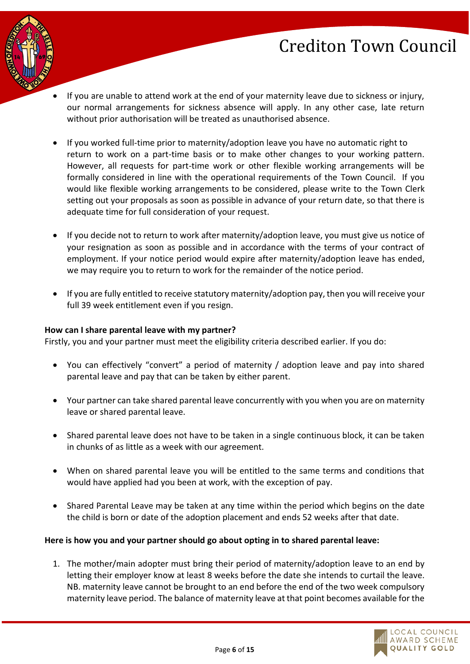

- If you are unable to attend work at the end of your maternity leave due to sickness or injury, our normal arrangements for sickness absence will apply. In any other case, late return without prior authorisation will be treated as unauthorised absence.
- If you worked full-time prior to maternity/adoption leave you have no automatic right to return to work on a part-time basis or to make other changes to your working pattern. However, all requests for part-time work or other flexible working arrangements will be formally considered in line with the operational requirements of the Town Council. If you would like flexible working arrangements to be considered, please write to the Town Clerk setting out your proposals as soon as possible in advance of your return date, so that there is adequate time for full consideration of your request.
- If you decide not to return to work after maternity/adoption leave, you must give us notice of your resignation as soon as possible and in accordance with the terms of your contract of employment. If your notice period would expire after maternity/adoption leave has ended, we may require you to return to work for the remainder of the notice period.
- If you are fully entitled to receive statutory maternity/adoption pay, then you will receive your full 39 week entitlement even if you resign.

#### **How can I share parental leave with my partner?**

Firstly, you and your partner must meet the eligibility criteria described earlier. If you do:

- You can effectively "convert" a period of maternity / adoption leave and pay into shared parental leave and pay that can be taken by either parent.
- Your partner can take shared parental leave concurrently with you when you are on maternity leave or shared parental leave.
- Shared parental leave does not have to be taken in a single continuous block, it can be taken in chunks of as little as a week with our agreement.
- When on shared parental leave you will be entitled to the same terms and conditions that would have applied had you been at work, with the exception of pay.
- Shared Parental Leave may be taken at any time within the period which begins on the date the child is born or date of the adoption placement and ends 52 weeks after that date.

#### **Here is how you and your partner should go about opting in to shared parental leave:**

1. The mother/main adopter must bring their period of maternity/adoption leave to an end by letting their employer know at least 8 weeks before the date she intends to curtail the leave. NB. maternity leave cannot be brought to an end before the end of the two week compulsory maternity leave period. The balance of maternity leave at that point becomes available for the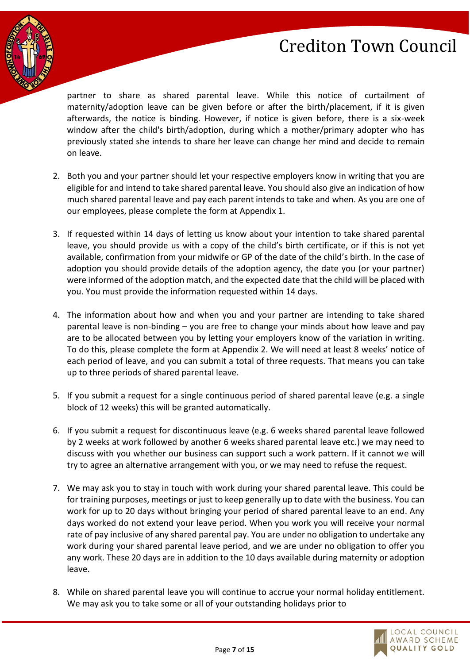

partner to share as shared parental leave. While this notice of curtailment of maternity/adoption leave can be given before or after the birth/placement, if it is given afterwards, the notice is binding. However, if notice is given before, there is a six-week window after the child's birth/adoption, during which a mother/primary adopter who has previously stated she intends to share her leave can change her mind and decide to remain on leave.

- 2. Both you and your partner should let your respective employers know in writing that you are eligible for and intend to take shared parental leave. You should also give an indication of how much shared parental leave and pay each parent intends to take and when. As you are one of our employees, please complete the form at Appendix 1.
- 3. If requested within 14 days of letting us know about your intention to take shared parental leave, you should provide us with a copy of the child's birth certificate, or if this is not yet available, confirmation from your midwife or GP of the date of the child's birth. In the case of adoption you should provide details of the adoption agency, the date you (or your partner) were informed of the adoption match, and the expected date that the child will be placed with you. You must provide the information requested within 14 days.
- 4. The information about how and when you and your partner are intending to take shared parental leave is non-binding – you are free to change your minds about how leave and pay are to be allocated between you by letting your employers know of the variation in writing. To do this, please complete the form at Appendix 2. We will need at least 8 weeks' notice of each period of leave, and you can submit a total of three requests. That means you can take up to three periods of shared parental leave.
- 5. If you submit a request for a single continuous period of shared parental leave (e.g. a single block of 12 weeks) this will be granted automatically.
- 6. If you submit a request for discontinuous leave (e.g. 6 weeks shared parental leave followed by 2 weeks at work followed by another 6 weeks shared parental leave etc.) we may need to discuss with you whether our business can support such a work pattern. If it cannot we will try to agree an alternative arrangement with you, or we may need to refuse the request.
- 7. We may ask you to stay in touch with work during your shared parental leave. This could be for training purposes, meetings or just to keep generally up to date with the business. You can work for up to 20 days without bringing your period of shared parental leave to an end. Any days worked do not extend your leave period. When you work you will receive your normal rate of pay inclusive of any shared parental pay. You are under no obligation to undertake any work during your shared parental leave period, and we are under no obligation to offer you any work. These 20 days are in addition to the 10 days available during maternity or adoption leave.
- 8. While on shared parental leave you will continue to accrue your normal holiday entitlement. We may ask you to take some or all of your outstanding holidays prior to

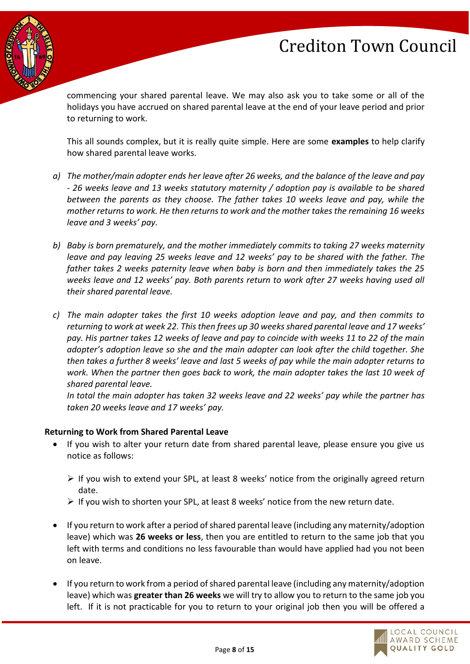

commencing your shared parental leave. We may also ask you to take some or all of the holidays you have accrued on shared parental leave at the end of your leave period and prior to returning to work.

This all sounds complex, but it is really quite simple. Here are some **examples** to help clarify how shared parental leave works.

- *a) The mother/main adopter ends her leave after 26 weeks, and the balance of the leave and pay - 26 weeks leave and 13 weeks statutory maternity / adoption pay is available to be shared between the parents as they choose. The father takes 10 weeks leave and pay, while the mother returns to work. He then returns to work and the mother takes the remaining 16 weeks leave and 3 weeks' pay.*
- *b) Baby is born prematurely, and the mother immediately commits to taking 27 weeks maternity leave and pay leaving 25 weeks leave and 12 weeks' pay to be shared with the father. The father takes 2 weeks paternity leave when baby is born and then immediately takes the 25 weeks leave and 12 weeks' pay. Both parents return to work after 27 weeks having used all their shared parental leave.*
- *c) The main adopter takes the first 10 weeks adoption leave and pay, and then commits to returning to work at week 22. This then frees up 30 weeks shared parental leave and 17 weeks' pay. His partner takes 12 weeks of leave and pay to coincide with weeks 11 to 22 of the main adopter's adoption leave so she and the main adopter can look after the child together. She then takes a further 8 weeks' leave and last 5 weeks of pay while the main adopter returns to work. When the partner then goes back to work, the main adopter takes the last 10 week of shared parental leave.*

*In total the main adopter has taken 32 weeks leave and 22 weeks' pay while the partner has taken 20 weeks leave and 17 weeks' pay.*

#### **Returning to Work from Shared Parental Leave**

- If you wish to alter your return date from shared parental leave, please ensure you give us notice as follows:
	- $\triangleright$  If you wish to extend your SPL, at least 8 weeks' notice from the originally agreed return date.
	- $\triangleright$  If you wish to shorten your SPL, at least 8 weeks' notice from the new return date.
- If you return to work after a period of shared parental leave (including any maternity/adoption leave) which was **26 weeks or less**, then you are entitled to return to the same job that you left with terms and conditions no less favourable than would have applied had you not been on leave.
- If you return to work from a period of shared parental leave (including any maternity/adoption leave) which was **greater than 26 weeks** we will try to allow you to return to the same job you left. If it is not practicable for you to return to your original job then you will be offered a

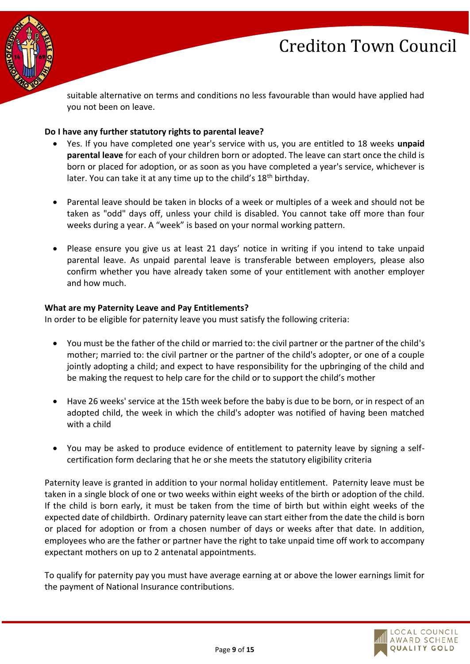

suitable alternative on terms and conditions no less favourable than would have applied had you not been on leave.

#### **Do I have any further statutory rights to parental leave?**

- Yes. If you have completed one year's service with us, you are entitled to 18 weeks **unpaid parental leave** for each of your children born or adopted. The leave can start once the child is born or placed for adoption, or as soon as you have completed a year's service, whichever is later. You can take it at any time up to the child's  $18<sup>th</sup>$  birthday.
- Parental leave should be taken in blocks of a week or multiples of a week and should not be taken as "odd" days off, unless your child is disabled. You cannot take off more than four weeks during a year. A "week" is based on your normal working pattern.
- Please ensure you give us at least 21 days' notice in writing if you intend to take unpaid parental leave. As unpaid parental leave is transferable between employers, please also confirm whether you have already taken some of your entitlement with another employer and how much.

#### **What are my Paternity Leave and Pay Entitlements?**

In order to be eligible for paternity leave you must satisfy the following criteria:

- You must be the father of the child or married to: the civil partner or the partner of the child's mother; married to: the civil partner or the partner of the child's adopter, or one of a couple jointly adopting a child; and expect to have responsibility for the upbringing of the child and be making the request to help care for the child or to support the child's mother
- Have 26 weeks' service at the 15th week before the baby is due to be born, or in respect of an adopted child, the week in which the child's adopter was notified of having been matched with a child
- You may be asked to produce evidence of entitlement to paternity leave by signing a selfcertification form declaring that he or she meets the statutory eligibility criteria

Paternity leave is granted in addition to your normal holiday entitlement. Paternity leave must be taken in a single block of one or two weeks within eight weeks of the birth or adoption of the child. If the child is born early, it must be taken from the time of birth but within eight weeks of the expected date of childbirth. Ordinary paternity leave can start either from the date the child is born or placed for adoption or from a chosen number of days or weeks after that date. In addition, employees who are the father or partner have the right to take unpaid time off work to accompany expectant mothers on up to 2 antenatal appointments.

To qualify for paternity pay you must have average earning at or above the lower earnings limit for the payment of National Insurance contributions.

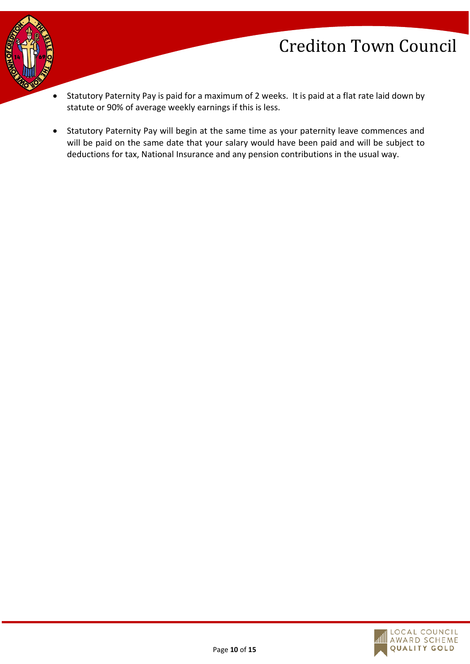

- Statutory Paternity Pay is paid for a maximum of 2 weeks. It is paid at a flat rate laid down by statute or 90% of average weekly earnings if this is less.
- Statutory Paternity Pay will begin at the same time as your paternity leave commences and will be paid on the same date that your salary would have been paid and will be subject to deductions for tax, National Insurance and any pension contributions in the usual way.

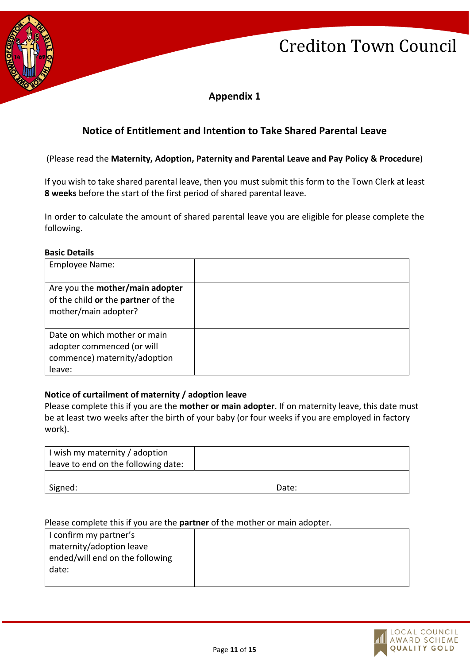

**Appendix 1**

### **Notice of Entitlement and Intention to Take Shared Parental Leave**

(Please read the **Maternity, Adoption, Paternity and Parental Leave and Pay Policy & Procedure**)

If you wish to take shared parental leave, then you must submit this form to the Town Clerk at least **8 weeks** before the start of the first period of shared parental leave.

In order to calculate the amount of shared parental leave you are eligible for please complete the following.

#### **Basic Details**

| <b>Employee Name:</b>                                                                                |  |
|------------------------------------------------------------------------------------------------------|--|
| Are you the mother/main adopter<br>of the child or the partner of the<br>mother/main adopter?        |  |
| Date on which mother or main<br>adopter commenced (or will<br>commence) maternity/adoption<br>leave: |  |

#### **Notice of curtailment of maternity / adoption leave**

Please complete this if you are the **mother or main adopter**. If on maternity leave, this date must be at least two weeks after the birth of your baby (or four weeks if you are employed in factory work).

| I wish my maternity / adoption<br>leave to end on the following date: |       |
|-----------------------------------------------------------------------|-------|
| Signed:                                                               | Date: |

#### Please complete this if you are the **partner** of the mother or main adopter.

| I confirm my partner's          |  |
|---------------------------------|--|
| maternity/adoption leave        |  |
| ended/will end on the following |  |
| date:                           |  |
|                                 |  |

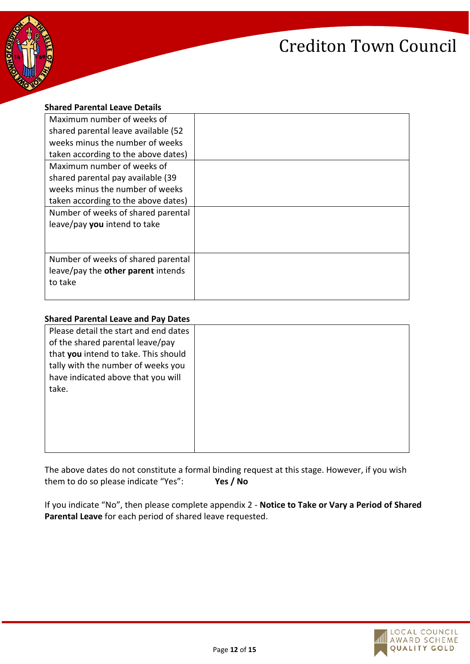



| <b>Shared Parental Leave Details</b> |  |
|--------------------------------------|--|
| Maximum number of weeks of           |  |
| shared parental leave available (52  |  |
| weeks minus the number of weeks      |  |
| taken according to the above dates)  |  |
| Maximum number of weeks of           |  |
| shared parental pay available (39    |  |
| weeks minus the number of weeks      |  |
| taken according to the above dates)  |  |
| Number of weeks of shared parental   |  |
| leave/pay you intend to take         |  |
|                                      |  |
|                                      |  |
| Number of weeks of shared parental   |  |
| leave/pay the other parent intends   |  |
| to take                              |  |
|                                      |  |

#### **Shared Parental Leave and Pay Dates**

| Please detail the start and end dates |  |
|---------------------------------------|--|
| of the shared parental leave/pay      |  |
| that you intend to take. This should  |  |
| tally with the number of weeks you    |  |
| have indicated above that you will    |  |
| take.                                 |  |
|                                       |  |
|                                       |  |
|                                       |  |
|                                       |  |
|                                       |  |

The above dates do not constitute a formal binding request at this stage. However, if you wish them to do so please indicate "Yes": **Yes / No**

If you indicate "No", then please complete appendix 2 - **Notice to Take or Vary a Period of Shared Parental Leave** for each period of shared leave requested.

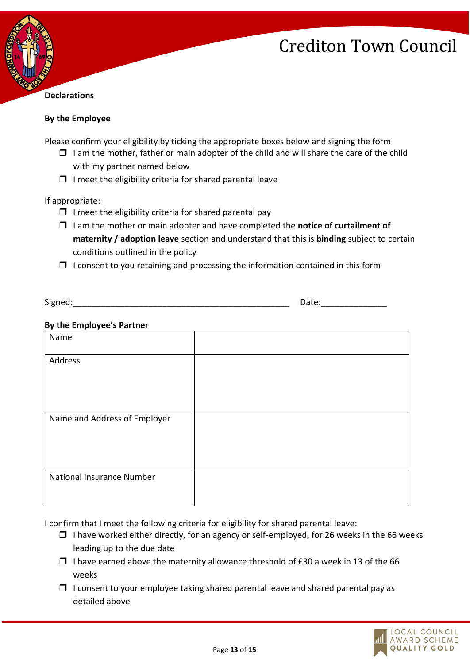

#### **By the Employee**

Please confirm your eligibility by ticking the appropriate boxes below and signing the form

- $\Box$  I am the mother, father or main adopter of the child and will share the care of the child with my partner named below
- $\Box$  I meet the eligibility criteria for shared parental leave

If appropriate:

- $\Box$  I meet the eligibility criteria for shared parental pay
- I am the mother or main adopter and have completed the **notice of curtailment of maternity / adoption leave** section and understand that this is **binding** subject to certain conditions outlined in the policy
- $\Box$  I consent to you retaining and processing the information contained in this form

| $\sim$<br>910.<br>.<br>--<br>. . |  |
|----------------------------------|--|
|----------------------------------|--|

#### **By the Employee's Partner**

| Name                         |  |
|------------------------------|--|
| Address                      |  |
| Name and Address of Employer |  |
| National Insurance Number    |  |

I confirm that I meet the following criteria for eligibility for shared parental leave:

- $\Box$  I have worked either directly, for an agency or self-employed, for 26 weeks in the 66 weeks leading up to the due date
- $\Box$  I have earned above the maternity allowance threshold of £30 a week in 13 of the 66 weeks
- $\Box$  I consent to your employee taking shared parental leave and shared parental pay as detailed above

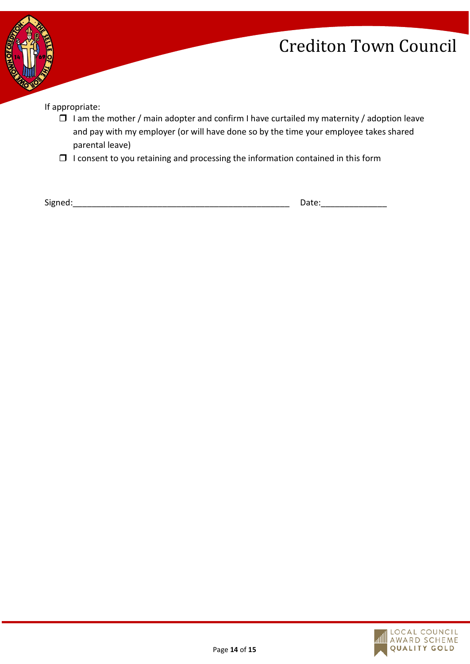

If appropriate:

- $\Box$  I am the mother / main adopter and confirm I have curtailed my maternity / adoption leave and pay with my employer (or will have done so by the time your employee takes shared parental leave)
- $\Box$  I consent to you retaining and processing the information contained in this form

Signed:\_\_\_\_\_\_\_\_\_\_\_\_\_\_\_\_\_\_\_\_\_\_\_\_\_\_\_\_\_\_\_\_\_\_\_\_\_\_\_\_\_\_\_\_\_\_ Date:\_\_\_\_\_\_\_\_\_\_\_\_\_\_